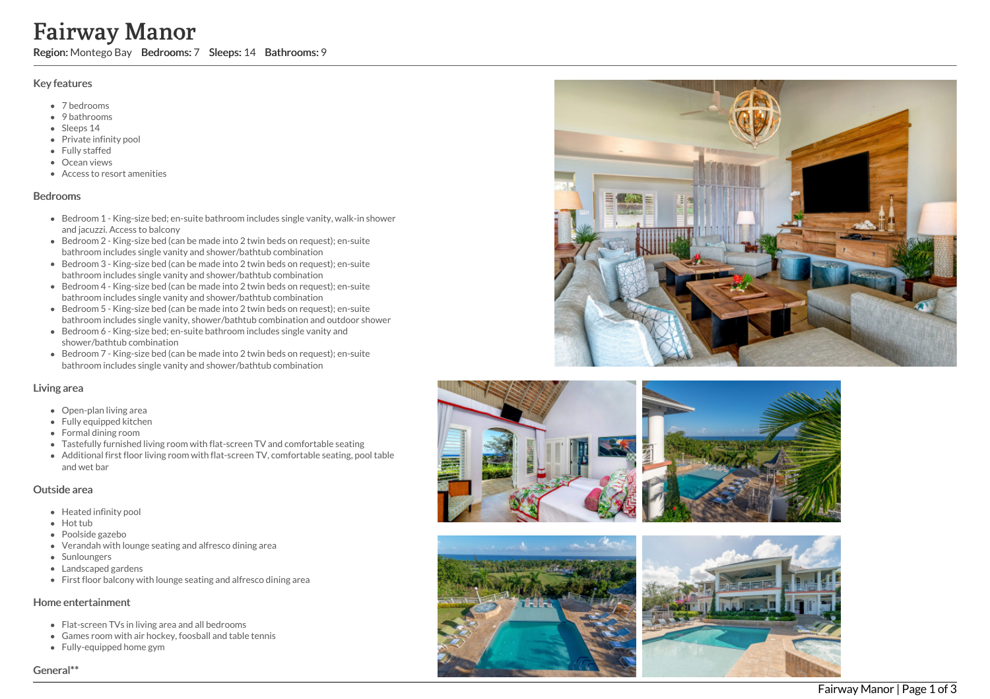# Fairway Manor

Region: Montego Bay Bedrooms: 7 Sleeps: 14 Bathrooms: 9

## Key features

- 7 b e d r o o m s
- 9 bathrooms
- Sleeps 14
- Private infinity pool
- Fully staffed
- Ocean views
- Access to resort amenities

#### **Bedrooms**

- Bedroom 1 King-size bed; en-suite bathroom includes single vanity, walk-in shower and jacuzzi. Access to balcony
- Bedroom 2 King-size bed (can be made into 2 twin beds on request); en-suite bathroom includes single vanity and shower/bathtub combination
- Bedroom 3 King-size bed (can be made into 2 twin beds on request); en-suite bathroom includes single vanity and shower/bathtub combination
- Bedroom 4 King-size bed (can be made into 2 twin beds on request); en-suite bathroom includes single vanity and shower/bathtub combination
- Bedroom 5 King-size bed (can be made into 2 twin beds on request); en-suite bathroom includes single vanity, shower/bathtub combination and outdoor shower
- Bedroom 6 King-size bed; en-suite bathroom includes single vanity and shower/bathtub combination
- Bedroom 7 King-size bed (can be made into 2 twin beds on request); en-suite bathroom includes single vanity and shower/bathtub combination

## Living area

- Open-plan living area
- Fully equipped kitchen
- Formal dining room
- Tastefully furnished living room with flat-screen TV and comfortable seating
- Additional first floor living room with flat-screen TV, comfortable seating, pool table a n d w e t b a r

#### Outside area

- Heated infinity pool
- Hot tub
- Poolside gazebo
- Verandah with lounge seating and alfresco dining area
- **Sunloungers**
- Landscaped gardens
- First floor balcony with lounge seating and alfresco dining area

## Home entertainment

- Flat-screen TVs in living area and all bedrooms
- Games room with air hockey, foosball and table tennis
- Fully-equipped home gym









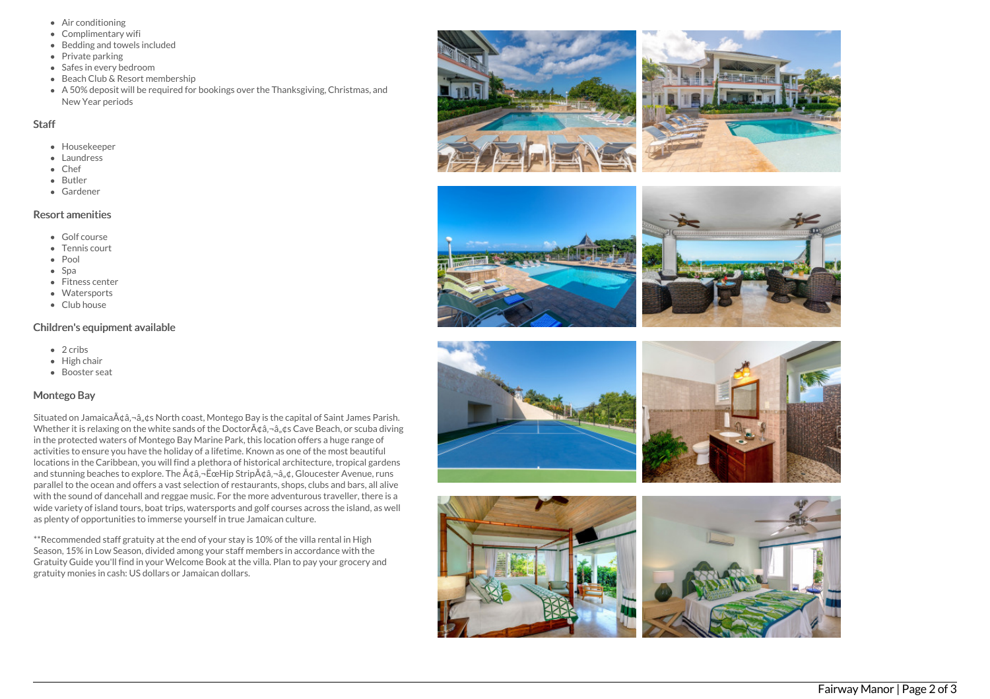- Air conditioning
- Complimentary wifi
- Bedding and towels included
- $\bullet$  Private parking
- Safes in every bedroom
- Beach Club & Resort membership
- A 50% deposit will be required for bookings over the Thanksgiving, Christmas, and New Year periods

## **Staff**

- Housekeeper
- Laundress
- Chef
- Butler
- Gardener

# Resort amenities

- Golf course
- Tennis court
- Pool
- Spa
- Fitness center
- Watersports
- Club house

## Children's equipment available

- $\bullet$  2 cribs
- High chair
- Booster seat

## Montego Bay

Situated on Jamaica $\tilde{A} \dot{\alpha} \hat{a}$ ,  $-\hat{a}$ ,  $d\beta$  North coast, Montego Bay is the capital of Saint James Parish. Whether it is relaxing on the white sands of the Doctor $\tilde{A}$  $\hat{\alpha}$ , $\tilde{\alpha}$ , $\hat{\alpha}$ , $\hat{\alpha}$ s Cave Beach, or scuba diving in the protected waters of Montego Bay Marine Park, this location offers a huge range of activities to ensure you have the holiday of a lifetime. Known as one of the most beautiful locations in the Caribbean, you will find a plethora of historical architecture, tropical gardens and stunning beaches to explore. The  $\tilde{A}\xi\hat{a}, -\tilde{E}\xi$  eHip Strip $\tilde{A}\xi\hat{a}, -\hat{a}, \xi$ , Gloucester Avenue, runs parallel to the ocean and offers a vast selection of restaurants, shops, clubs and bars, all alive with the sound of dancehall and reggae music. For the more adventurous traveller, there is a wide variety of island tours, boat trips, watersports and golf courses across the island, as well as plenty of opportunities to immerse yourself in true Jamaican culture.

\*\*Recommended staff gratuity at the end of your stay is 10% of the villa rental in High Season, 15% in Low Season, divided among your staff members in accordance with the Gratuity Guide you'll find in your Welcome Book at the villa. Plan to pay your grocery and gratuity monies in cash: US dollars or Jamaican dollars.